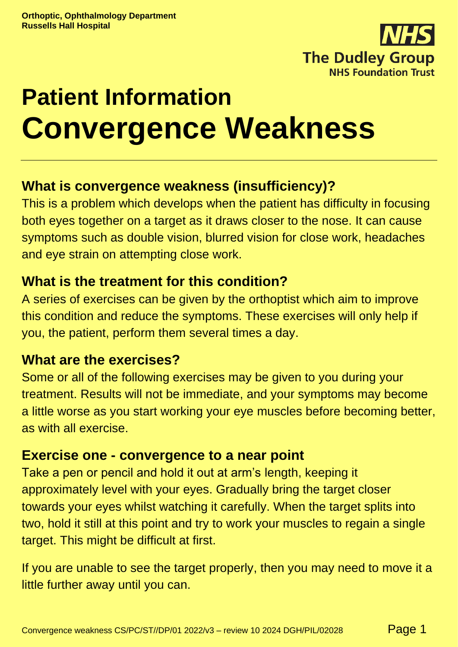

# **Patient Information Convergence Weakness**

# **What is convergence weakness (insufficiency)?**

This is a problem which develops when the patient has difficulty in focusing both eyes together on a target as it draws closer to the nose. It can cause symptoms such as double vision, blurred vision for close work, headaches and eye strain on attempting close work.

# **What is the treatment for this condition?**

A series of exercises can be given by the orthoptist which aim to improve this condition and reduce the symptoms. These exercises will only help if you, the patient, perform them several times a day.

# **What are the exercises?**

Some or all of the following exercises may be given to you during your treatment. Results will not be immediate, and your symptoms may become a little worse as you start working your eye muscles before becoming better, as with all exercise.

# **Exercise one - convergence to a near point**

Take a pen or pencil and hold it out at arm's length, keeping it approximately level with your eyes. Gradually bring the target closer towards your eyes whilst watching it carefully. When the target splits into two, hold it still at this point and try to work your muscles to regain a single target. This might be difficult at first.

If you are unable to see the target properly, then you may need to move it a little further away until you can.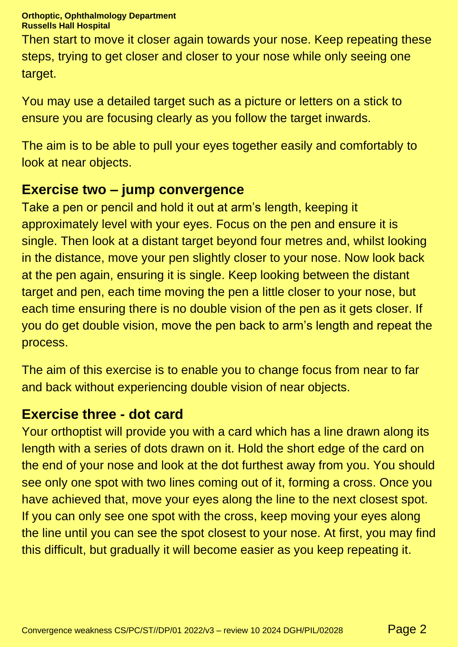#### **Orthoptic, Ophthalmology Department Russells Hall Hospital**

Then start to move it closer again towards your nose. Keep repeating these steps, trying to get closer and closer to your nose while only seeing one target.

You may use a detailed target such as a picture or letters on a stick to ensure you are focusing clearly as you follow the target inwards.

The aim is to be able to pull your eyes together easily and comfortably to look at near objects.

# **Exercise two – jump convergence**

Take a pen or pencil and hold it out at arm's length, keeping it approximately level with your eyes. Focus on the pen and ensure it is single. Then look at a distant target beyond four metres and, whilst looking in the distance, move your pen slightly closer to your nose. Now look back at the pen again, ensuring it is single. Keep looking between the distant target and pen, each time moving the pen a little closer to your nose, but each time ensuring there is no double vision of the pen as it gets closer. If you do get double vision, move the pen back to arm's length and repeat the process.

The aim of this exercise is to enable you to change focus from near to far and back without experiencing double vision of near objects.

## **Exercise three - dot card**

Your orthoptist will provide you with a card which has a line drawn along its length with a series of dots drawn on it. Hold the short edge of the card on the end of your nose and look at the dot furthest away from you. You should see only one spot with two lines coming out of it, forming a cross. Once you have achieved that, move your eyes along the line to the next closest spot. If you can only see one spot with the cross, keep moving your eyes along the line until you can see the spot closest to your nose. At first, you may find this difficult, but gradually it will become easier as you keep repeating it.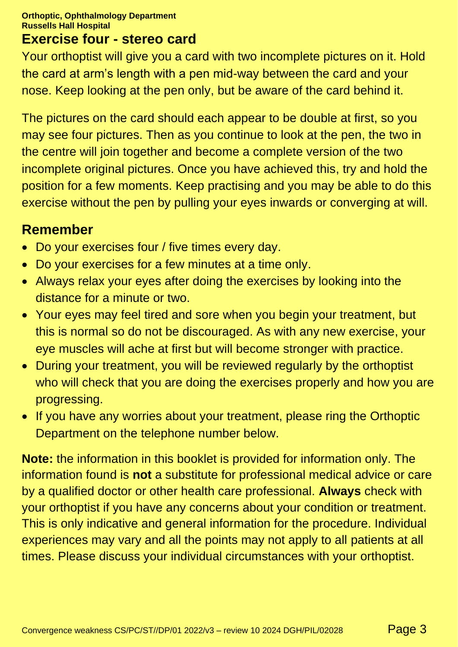#### **Orthoptic, Ophthalmology Department Russells Hall Hospital**

# **Exercise four - stereo card**

Your orthoptist will give you a card with two incomplete pictures on it. Hold the card at arm's length with a pen mid-way between the card and your nose. Keep looking at the pen only, but be aware of the card behind it.

The pictures on the card should each appear to be double at first, so you may see four pictures. Then as you continue to look at the pen, the two in the centre will join together and become a complete version of the two incomplete original pictures. Once you have achieved this, try and hold the position for a few moments. Keep practising and you may be able to do this exercise without the pen by pulling your eyes inwards or converging at will.

## **Remember**

- Do your exercises four / five times every day.
- Do your exercises for a few minutes at a time only.
- Always relax your eyes after doing the exercises by looking into the distance for a minute or two.
- Your eyes may feel tired and sore when you begin your treatment, but this is normal so do not be discouraged. As with any new exercise, your eye muscles will ache at first but will become stronger with practice.
- During your treatment, you will be reviewed regularly by the orthoptist who will check that you are doing the exercises properly and how you are progressing.
- If you have any worries about your treatment, please ring the Orthoptic Department on the telephone number below.

**Note:** the information in this booklet is provided for information only. The information found is **not** a substitute for professional medical advice or care by a qualified doctor or other health care professional. **Always** check with your orthoptist if you have any concerns about your condition or treatment. This is only indicative and general information for the procedure. Individual experiences may vary and all the points may not apply to all patients at all times. Please discuss your individual circumstances with your orthoptist.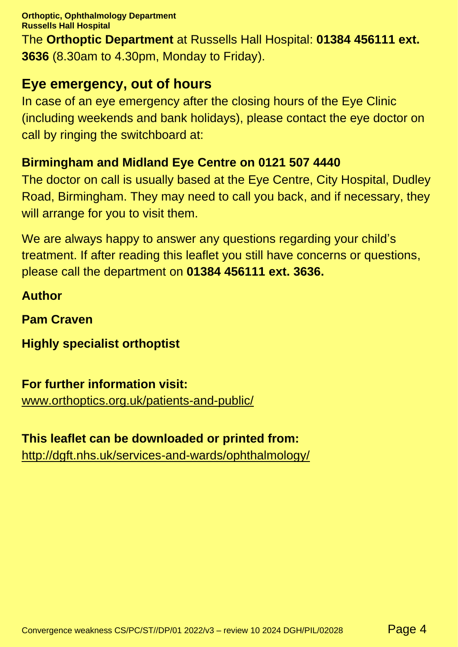**Orthoptic, Ophthalmology Department Russells Hall Hospital** The **Orthoptic Department** at Russells Hall Hospital: **01384 456111 ext. 3636** (8.30am to 4.30pm, Monday to Friday).

# **Eye emergency, out of hours**

In case of an eye emergency after the closing hours of the Eye Clinic (including weekends and bank holidays), please contact the eye doctor on call by ringing the switchboard at:

## **Birmingham and Midland Eye Centre on 0121 507 4440**

The doctor on call is usually based at the Eye Centre, City Hospital, Dudley Road, Birmingham. They may need to call you back, and if necessary, they will arrange for you to visit them.

We are always happy to answer any questions regarding your child's treatment. If after reading this leaflet you still have concerns or questions, please call the department on **01384 456111 ext. 3636.**

**Author**

**Pam Craven**

**Highly specialist orthoptist**

## **For further information visit:**

[www.orthoptics.org.uk/patients-and-public/](https://www.orthoptics.org.uk/patients-and-public/)

## **This leaflet can be downloaded or printed from:**

<http://dgft.nhs.uk/services-and-wards/ophthalmology/>